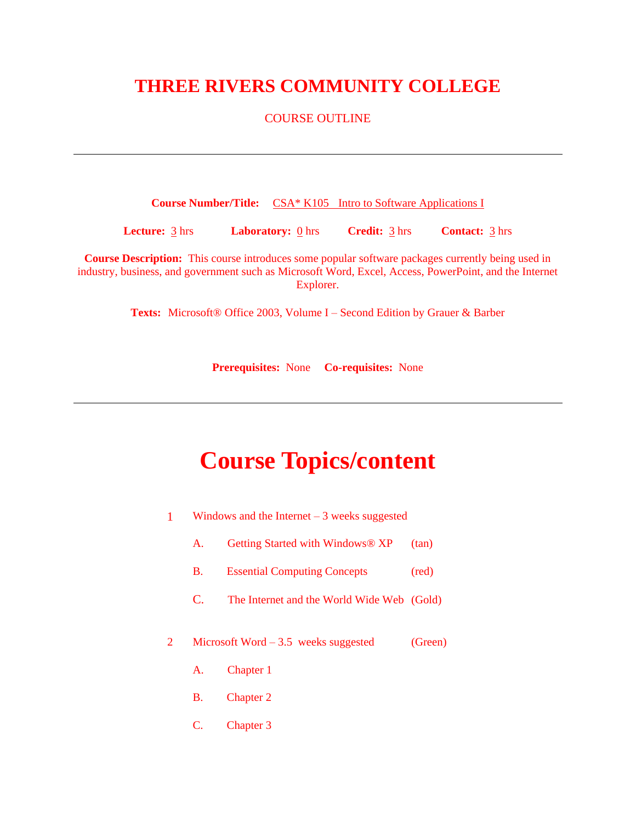## **THREE RIVERS COMMUNITY COLLEGE**

### COURSE OUTLINE

**Course Number/Title:** CSA\* K105 Intro to Software Applications I

**Lecture:** 3 hrs **Laboratory:** 0 hrs **Credit:** 3 hrs **Contact:** 3 hrs

**Course Description:** This course introduces some popular software packages currently being used in industry, business, and government such as Microsoft Word, Excel, Access, PowerPoint, and the Internet Explorer.

**Texts:** Microsoft® Office 2003, Volume I – Second Edition by Grauer & Barber

**Prerequisites:** None **Co-requisites:** None

# **Course Topics/content**

- 1 Windows and the Internet 3 weeks suggested
	- A. Getting Started with Windows® XP (tan)
	- B. Essential Computing Concepts (red)
	- C. The Internet and the World Wide Web (Gold)
- 2 Microsoft Word 3.5 weeks suggested (Green)
	- A. Chapter 1
	- B. Chapter 2
	- C. Chapter 3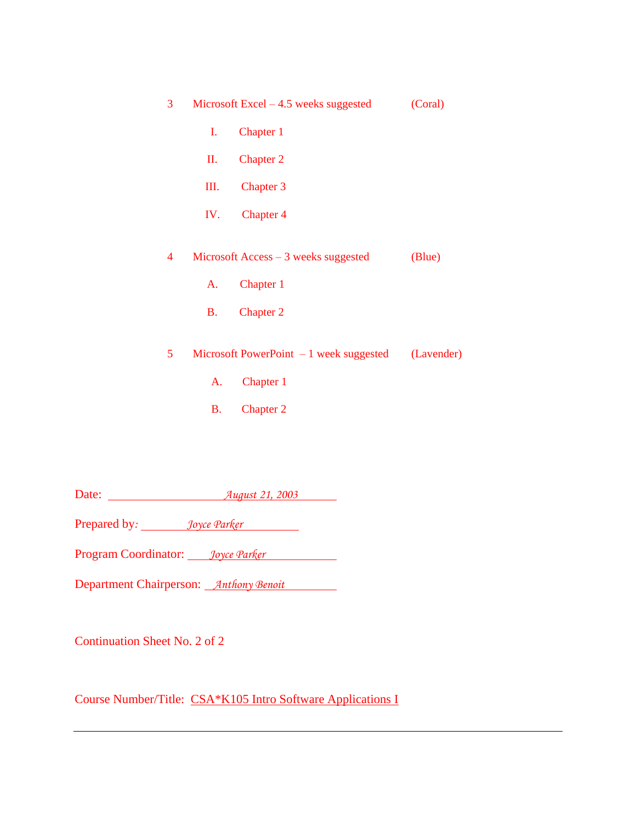| 3 |                | Microsoft Excel $-4.5$ weeks suggested   | (Coral)    |
|---|----------------|------------------------------------------|------------|
|   | $\mathbf{I}$ . | Chapter 1                                |            |
|   | II.            | <b>Chapter 2</b>                         |            |
|   | Ш.             | Chapter 3                                |            |
|   | IV.            | Chapter 4                                |            |
| 4 |                | Microsoft Access $-3$ weeks suggested    | (Blue)     |
|   | A.             | Chapter 1                                |            |
|   | <b>B</b> .     | <b>Chapter 2</b>                         |            |
| 5 |                | Microsoft PowerPoint $-1$ week suggested | (Lavender) |
|   | A.             | Chapter 1                                |            |
|   | <b>B.</b>      | <b>Chapter 2</b>                         |            |
|   |                |                                          |            |

Date: *August 21, 2003*

Prepared by: *Joyce Parker* 

Program Coordinator: *Joyce Parker*

Department Chairperson: *Anthony Benoit*

Continuation Sheet No. 2 of 2

Course Number/Title: CSA\*K105 Intro Software Applications I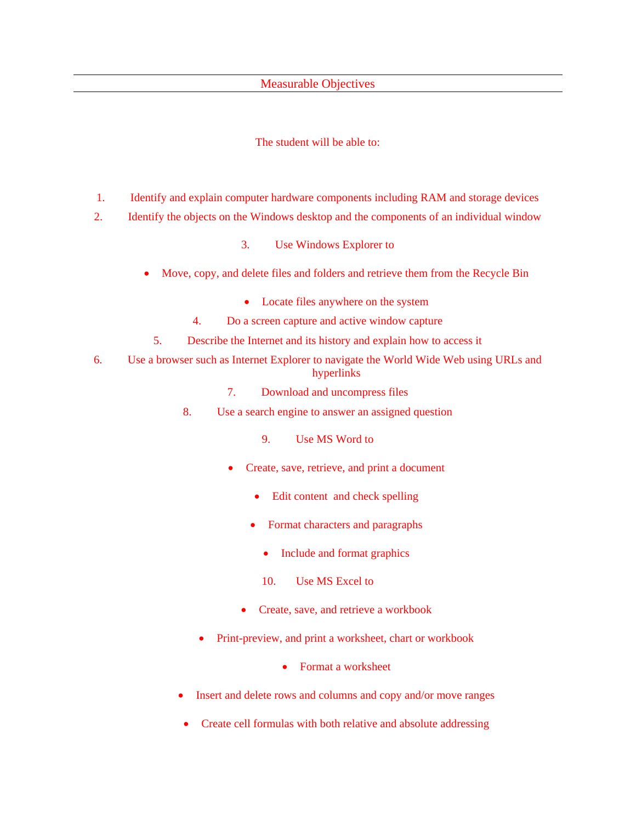### Measurable Objectives

### The student will be able to:

- 1. Identify and explain computer hardware components including RAM and storage devices
- 2. Identify the objects on the Windows desktop and the components of an individual window
	- 3. Use Windows Explorer to
	- Move, copy, and delete files and folders and retrieve them from the Recycle Bin
		- Locate files anywhere on the system
		- 4. Do a screen capture and active window capture
		- 5. Describe the Internet and its history and explain how to access it
- 6. Use a browser such as Internet Explorer to navigate the World Wide Web using URLs and hyperlinks
	- 7. Download and uncompress files
	- 8. Use a search engine to answer an assigned question
		- 9. Use MS Word to
		- Create, save, retrieve, and print a document
			- Edit content and check spelling
			- Format characters and paragraphs
				- Include and format graphics
				- 10. Use MS Excel to
			- Create, save, and retrieve a workbook
		- Print-preview, and print a worksheet, chart or workbook
			- Format a worksheet
	- Insert and delete rows and columns and copy and/or move ranges
	- Create cell formulas with both relative and absolute addressing